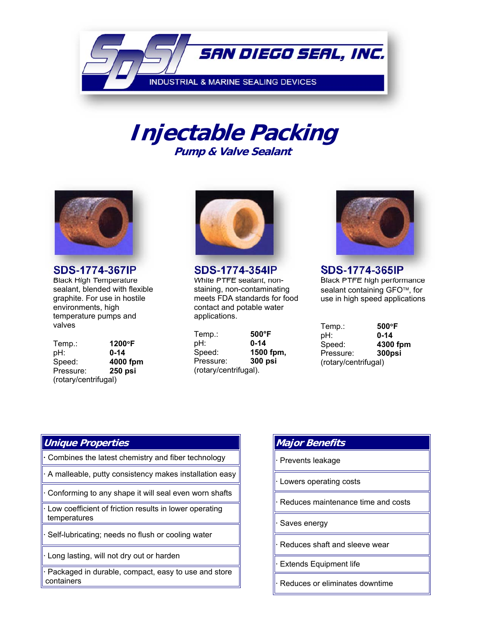

# **Injectable Packing Pump & Valve Sealant**



**SDS-1774-367IP**<br>Black High Temperature sealant, blended with flexible graphite. For use in hostile environments, high temperature pumps and valves

Temp.: **1200F** pH: **0-14** Speed: **4000 fpm** Pressure: **250 psi**  (rotary/centrifugal)



**SDS-1774-354IP** White PTFE sealant, nonstaining, non-contaminating meets FDA standards for food contact and potable water applications.

Temp.: **500°F** pH: **0-14** Speed: **1500 fpm,**  Pressure: **300 psi**  (rotary/centrifugal).



**SDS-1774-365IP** Black PTFE high performance sealant containing GFO™, for use in high speed applications

| Temp.:               | $500^{\circ}$ F |
|----------------------|-----------------|
| pH:                  | 0-14            |
| Speed:               | 4300 fpm        |
| Pressure:            | 300psi          |
| (rotary/centrifugal) |                 |

#### **Unique Properties**

**·** Combines the latest chemistry and fiber technology

**·** A malleable, putty consistency makes installation easy

**·** Conforming to any shape it will seal even worn shafts

**·** Low coefficient of friction results in lower operating temperatures

**·** Self-lubricating; needs no flush or cooling water

**·** Long lasting, will not dry out or harden

**·** Packaged in durable, compact, easy to use and store containers

| <b>Major Benefits</b>                      |
|--------------------------------------------|
| · Prevents leakage                         |
| · Lowers operating costs                   |
| $\cdot$ Reduces maintenance time and costs |
| · Saves energy                             |
| $\cdot$ Reduces shaft and sleeve wear      |
| · Extends Equipment life                   |

**·** Reduces or eliminates downtime